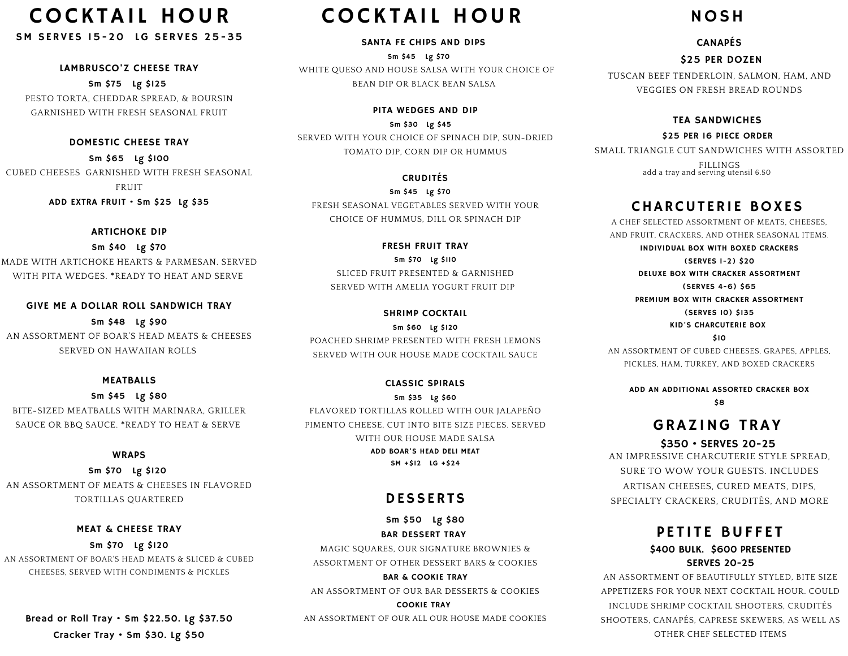# **COCKTAIL HOUR**

SM SERVES 15-20 LG SERVES 25-35

LAMBRUSCO'Z CHEESE TRAY

Sm \$75 Lg \$125 PESTO TORTA, CHEDDAR SPREAD, & BOURSIN GARNISHED WITH FRESH SEASONAL FRUIT

DOMESTIC CHEESE TRAY

Sm \$65 Lg \$100 CUBED CHEESES GARNISHED WITH FRESH SEASONAL FRUIT ADD EXTRA FRUIT • Sm \$25 Lg \$35

#### ARTICHOKE DIP

Sm \$40 Lg \$70 MADE WITH ARTICHOKE HEARTS & PARMESAN. SERVED WITH PITA WEDGES. **\***READY TO HEAT AND SERVE

GIVE ME A DOLLAR ROLL SANDWICH TRAY Sm \$48 Lg \$90 AN ASSORTMENT OF BOAR'S HEAD MEATS & CHEESES SERVED ON HAWAIIAN ROLLS

#### MEATBALLS

Sm \$45 Lg \$80 BITE-SIZED MEATBALLS WITH MARINARA, GRILLER SAUCE OR BBQ SAUCE. **\***READY TO HEAT & SERVE

#### WRAPS

Sm \$70 Lg \$120 AN ASSORTMENT OF MEATS & CHEESES IN FLAVORED TORTILLAS QUARTERED

MEAT & CHEESE TRAY Sm \$70 Lg \$120 AN ASSORTMENT OF BOAR'S HEAD MEATS & SLICED & CUBED CHEESES, SERVED WITH CONDIMENTS & PICKLES

Bread or Roll Tray • Sm \$22.50. Lg \$37.50 Cracker Tray • Sm \$30. Lg \$50

# **COCKTAIL HOUR**

SANTA FE CHIPS AND DIPS

Sm \$45 Lg \$70 WHITE QUESO AND HOUSE SALSA WITH YOUR CHOICE OF BEAN DIP OR BLACK BEAN SALSA

PITA WEDGES AND DIP Sm \$30 Lg \$45 SERVED WITH YOUR CHOICE OF SPINACH DIP, SUN-DRIED TOMATO DIP, CORN DIP OR HUMMUS

CRUDITÉS Sm \$45 Lg \$70 FRESH SEASONAL VEGETABLES SERVED WITH YOUR CHOICE OF HUMMUS, DILL OR SPINACH DIP

FRESH FRUIT TRAY Sm \$70 Lg \$110 SLICED FRUIT PRESENTED & GARNISHED SERVED WITH AMELIA YOGURT FRUIT DIP

SHRIMP COCKTAIL Sm \$60 Lg \$120 POACHED SHRIMP PRESENTED WITH FRESH LEMONS SERVED WITH OUR HOUSE MADE COCKTAIL SAUCE

CLASSIC SPIRALS Sm \$35 Lg \$60 FLAVORED TORTILLAS ROLLED WITH OUR JALAPEÑO PIMENTO CHEESE, CUT INTO BITE SIZE PIECES. SERVED WITH OUR HOUSE MADE SALSA ADD BOAR'S HEAD DELI MEAT SM +\$12 LG +\$24

## DESSERTS

Sm \$50 Lg \$80 BAR DESSERT TRAY

MAGIC SQUARES, OUR SIGNATURE BROWNIES & ASSORTMENT OF OTHER DESSERT BARS & COOKIES

BAR & COOKIE TRAY AN ASSORTMENT OF OUR BAR DESSERTS & COOKIES

COOKIE TRAY

AN ASSORTMENT OF OUR ALL OUR HOUSE MADE COOKIES

# NOSH

#### CANAPÉS

#### \$25 PER DOZEN

TUSCAN BEEF TENDERLOIN, SALMON, HAM, AND VEGGIES ON FRESH BREAD ROUNDS

#### TEA SANDWICHES

\$25 PER 16 PIECE ORDER SMALL TRIANGLE CUT SANDWICHES WITH ASSORTED FILLINGS add a tray and serving utensil 6.50

# CHARCUTERIE BOXES

A CHEF SELECTED ASSORTMENT OF MEATS, CHEESES AND FRUIT, CRACKERS, AND OTHER SEASONAL ITEMS. INDIVIDUAL BOX WITH BOXED CRACKERS (SERVES 1-2) \$20 DELUXE BOX WITH CRACKER ASSORTMENT (SERVES 4-6) \$65 PREMIUM BOX WITH CRACKER ASSORTMENT (SERVES 10) \$135 KID'S CHARCUTERIE BOX \$10

AN ASSORTMENT OF CUBED CHEESES, GRAPES, APPLES, PICKLES, HAM, TURKEY, AND BOXED CRACKERS

ADD AN ADDITIONAL ASSORTED CRACKER BOX \$8

# GRAZING TRAY

#### \$350 • SERVES 20-25

AN IMPRESSIVE CHARCUTERIE STYLE SPREAD, SURE TO WOW YOUR GUESTS. INCLUDES ARTISAN CHEESES, CURED MEATS, DIPS, SPECIALTY CRACKERS, CRUDITÉS, AND MORE

## PETITE BUFFET \$400 BULK. \$600 PRESENTED SERVES 20-25

AN ASSORTMENT OF BEAUTIFULLY STYLED, BITE SIZE APPETIZERS FOR YOUR NEXT COCKTAIL HOUR. COULD INCLUDE SHRIMP COCKTAIL SHOOTERS, CRUDITÉS SHOOTERS, CANAPÉS, CAPRESE SKEWERS, AS WELL AS OTHER CHEF SELECTED ITEMS